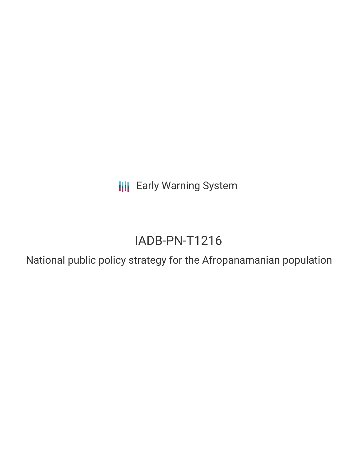**III** Early Warning System

# IADB-PN-T1216

National public policy strategy for the Afropanamanian population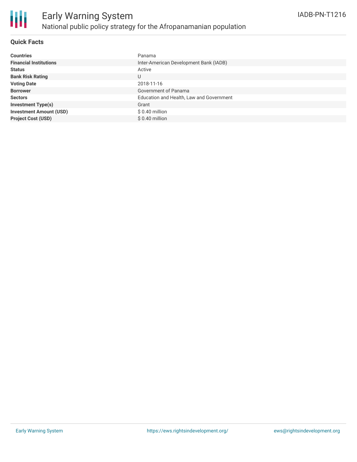

### **Quick Facts**

| <b>Countries</b>               | Panama                                   |
|--------------------------------|------------------------------------------|
| <b>Financial Institutions</b>  | Inter-American Development Bank (IADB)   |
| <b>Status</b>                  | Active                                   |
| <b>Bank Risk Rating</b>        | U                                        |
| <b>Voting Date</b>             | 2018-11-16                               |
| <b>Borrower</b>                | Government of Panama                     |
| <b>Sectors</b>                 | Education and Health, Law and Government |
| <b>Investment Type(s)</b>      | Grant                                    |
| <b>Investment Amount (USD)</b> | $$0.40$ million                          |
| <b>Project Cost (USD)</b>      | \$0.40 million                           |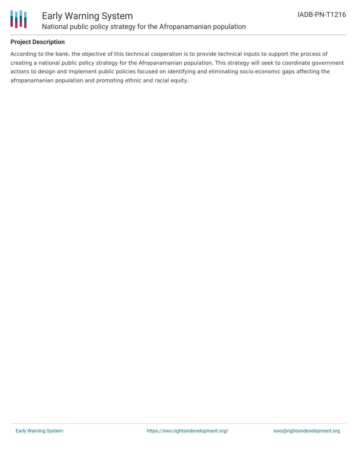

### **Project Description**

According to the bank, the objective of this technical cooperation is to provide technical inputs to support the process of creating a national public policy strategy for the Afropanamanian population. This strategy will seek to coordinate government actions to design and implement public policies focused on identifying and eliminating socio-economic gaps affecting the afropanamanian population and promoting ethnic and racial equity.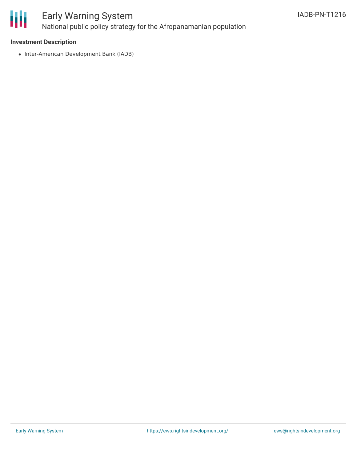

## Early Warning System National public policy strategy for the Afropanamanian population

### **Investment Description**

• Inter-American Development Bank (IADB)